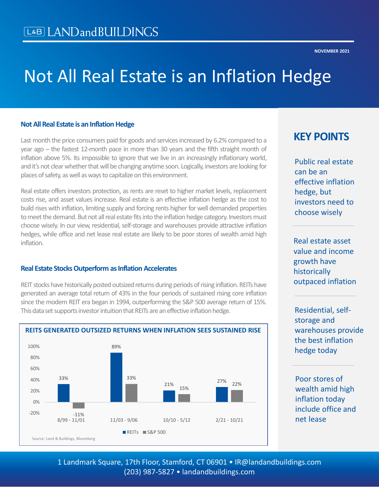# Not All Real Estate is an Inflation Hedge

#### **Not All Real Estate is an Inflation Hedge**

Last month the price consumers paid for goods and services increased by 6.2% compared to a year ago – the fastest 12-month pace in more than 30 years and the fifth straight month of inflation above 5%. Its impossible to ignore that we live in an increasingly inflationary world, and it's not clear whether that will be changing anytime soon. Logically, investors are looking for places of safety, as well as ways to capitalize on this environment.

Real estate offers investors protection, as rents are reset to higher market levels, replacement costs rise, and asset values increase. Real estate is an effective inflation hedge as the cost to build rises with inflation, limiting supply and forcing rents higher for well demanded properties to meet the demand. But not all real estate fits into the inflation hedge category. Investors must choose wisely. In our view, residential, self-storage and warehouses provide attractive inflation hedges, while office and net lease real estate are likely to be poor stores of wealth amid high inflation.

#### **Real Estate Stocks Outperform as Inflation Accelerates**

REIT stocks have historically posted outsized returns during periods of rising inflation. REITs have generated an average total return of 43% in the four periods of sustained rising core inflation since the modern REIT era began in 1994, outperforming the S&P 500 average return of 15%. This data set supports investor intuition that REITs are an effective inflation hedge.



#### **REITS GENERATED OUTSIZED RETURNS WHEN INFLATION SEES SUSTAINED RISE**

## **KEY POINTS**

Public real estate can be an effective inflation hedge, but investors need to choose wisely

Real estate asset value and income growth have historically outpaced inflation

Residential, selfstorage and warehouses provide the best inflation hedge today

Poor stores of wealth amid high inflation today include office and net lease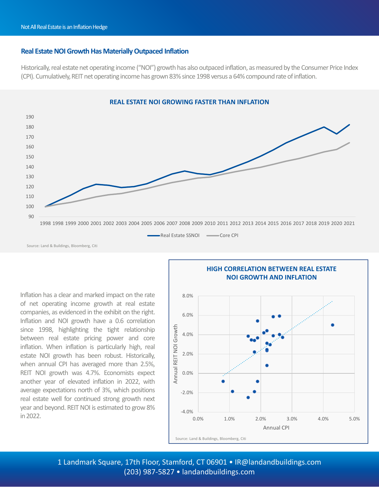#### **Real Estate NOI Growth Has Materially Outpaced Inflation**

Historically, real estate net operating income ("NOI") growth has also outpaced inflation, as measured by the Consumer Price Index (CPI). Cumulatively, REIT net operating income has grown 83% since 1998 versus a 64% compound rate of inflation.



Inflation has a clear and marked impact on the rate of net operating income growth at real estate companies, as evidenced in the exhibit on the right. Inflation and NOI growth have a 0.6 correlation since 1998, highlighting the tight relationship between real estate pricing power and core inflation. When inflation is particularly high, real estate NOI growth has been robust. Historically, when annual CPI has averaged more than 2.5%, REIT NOI growth was 4.7%. Economists expect another year of elevated inflation in 2022, with average expectations north of 3%, which positions real estate well for continued strong growth next year and beyond. REIT NOI is estimated to grow 8% in2022.



1 Landmark Square, 17th Floor, Stamford, CT 06901 • IR@landandbuildings.com (203) 987-5827 • landandbuildings.com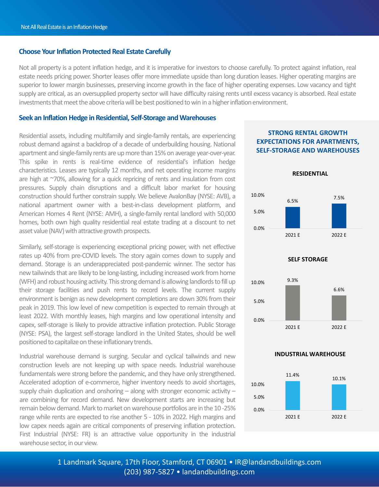#### **Choose Your Inflation Protected Real Estate Carefully**

Not all property is a potent inflation hedge, and it is imperative for investors to choose carefully. To protect against inflation, real estate needs pricing power. Shorter leases offer more immediate upside than long duration leases. Higher operating margins are superior to lower margin businesses, preserving income growth in the face of higher operating expenses. Low vacancy and tight supply are critical, as an oversupplied property sector will have difficulty raising rents until excess vacancy is absorbed. Real estate investments that meet the above criteria will be best positioned to win in a higher inflation environment.

#### **Seek an Inflation Hedge in Residential, Self-Storage and Warehouses**

Residential assets, including multifamily and single-family rentals, are experiencing robust demand against a backdrop of a decade of underbuilding housing. National apartment and single-family rents are up more than 15% on average year-over-year. This spike in rents is real-time evidence of residential's inflation hedge characteristics. Leases are typically 12 months, and net operating income margins are high at ~70%, allowing for a quick repricing of rents and insulation from cost pressures. Supply chain disruptions and a difficult labor market for housing construction should further constrain supply. We believe AvalonBay (NYSE: AVB), a national apartment owner with a best-in-class development platform, and American Homes 4 Rent (NYSE: AMH), a single-family rental landlord with 50,000 homes, both own high quality residential real estate trading at a discount to net asset value (NAV) with attractive growth prospects.

Similarly, self-storage is experiencing exceptional pricing power, with net effective rates up 40% from pre-COVID levels. The story again comes down to supply and demand. Storage is an underappreciated post-pandemic winner. The sector has new tailwinds that are likely to be long-lasting, including increased work from home (WFH) and robust housing activity. This strong demand is allowing landlords to fill up their storage facilities and push rents to record levels. The current supply environment is benign as new development completions are down 30% from their peak in 2019. This low level of new competition is expected to remain through at least 2022. With monthly leases, high margins and low operational intensity and capex, self-storage is likely to provide attractive inflation protection. Public Storage (NYSE: PSA), the largest self-storage landlord in the United States, should be well positioned to capitalize on these inflationary trends.

Industrial warehouse demand is surging. Secular and cyclical tailwinds and new **INDUSTRIAL WAREHOUSE** construction levels are not keeping up with space needs. Industrial warehouse fundamentals were strong before the pandemic, and they have only strengthened. Accelerated adoption of e-commerce, higher inventory needs to avoid shortages, supply chain duplication and onshoring  $-$  along with stronger economic activity  $$ are combining for record demand. New development starts are increasing but remain below demand. Mark to market on warehouse portfolios are in the 10 -25% range while rents are expected to rise another 5 - 10% in 2022. High margins and low capex needs again are critical components of preserving inflation protection. First Industrial (NYSE: FR) is an attractive value opportunity in the industrial warehouse sector, in our view.

#### **STRONG RENTAL GROWTH EXPECTATIONS FOR APARTMENTS, SELF-STORAGE AND WAREHOUSES**





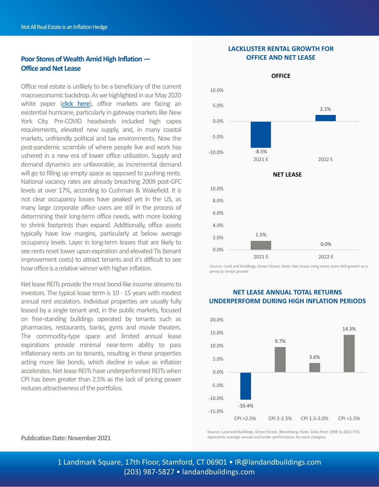#### **Poor Stores of Wealth Amid High Inflation — Office and Net Lease**

Office real estate is unlikely to be a beneficiary of the current macroeconomic backdrop. As we highlighted in our May 2020 white paper (click [here\)](https://landandbuildings.com/wp-content/uploads/2020/05/LandB-NYC-Office-Facing-Existential-Hurricane-1.pdf), office markets are facing an existential hurricane, particularly in gateway markets like New York City. Pre-COVID headwinds included high capex requirements, elevated new supply, and, in many coastal markets, unfriendly political and tax environments. Now the post-pandemic scramble of where people live and work has ushered in a new era of lower office utilization. Supply and demand dynamics are unfavorable, as incremental demand will go to filling up empty space as opposed to pushing rents. National vacancy rates are already breaching 2009 post-GFC levels at over 17%, according to Cushman & Wakefield. It is not clear occupancy losses have peaked yet in the US, as many large corporate office users are still in the process of determining their long-term office needs, with more looking to shrink footprints than expand. Additionally, office assets typically have low margins, particularly at below average occupancy levels. Layer in long-term leases that are likely to see rents reset lower upon expiration and elevated TIs (tenant improvement costs) to attract tenants and it's difficult to see how office is a relative winner with higher inflation.

Net lease REITs provide the most bond-like income streams to investors. The typical lease term is 10 - 15 years with modest annual rent escalators. Individual properties are usually fully leased by a single tenant and, in the public markets, focused on free-standing buildings operated by tenants such as pharmacies, restaurants, banks, gyms and movie theaters. The commodity-type space and limited annual lease expirations provide minimal near-term ability to pass inflationary rents on to tenants, resulting in these properties acting more like bonds, which decline in value as inflation accelerates. Net lease REITs have underperformed REITs when CPI has been greater than 2.5% as the lack of pricing power reduces attractiveness of the portfolios.

### **Publication Date: November 2021**

**LACKLUSTER RENTAL GROWTH FOR OFFICE AND NET LEASE**



Source: Land and Buildings, Green Street; Note: Net Lease using same store NOI growth as a proxy to rental growth



#### **NET LEASE ANNUAL TOTAL RETURNS UNDERPERFORM DURING HIGH INFLATION PERIODS**

Source: Land and Buildings, Green Street, Bloomberg; Note: Data from 1998 to 2021 YTD, represents average annual out/under performance for each category